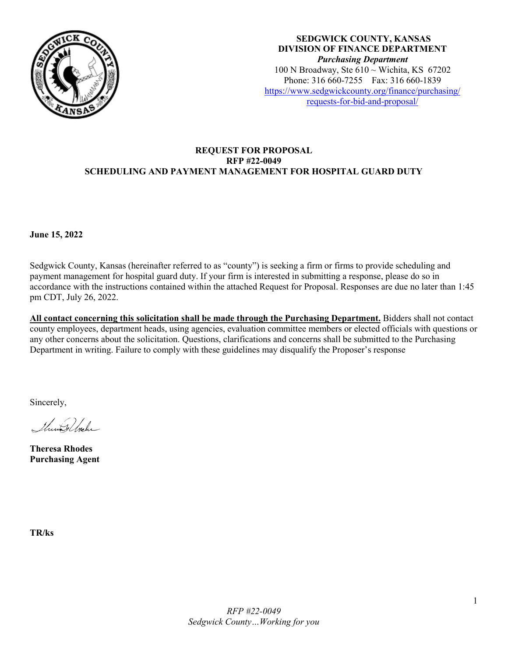

**SEDGWICK COUNTY, KANSAS DIVISION OF FINANCE DEPARTMENT** *Purchasing Department* 100 N Broadway, Ste  $610 \sim$  Wichita, KS 67202 Phone: 316 660-7255 Fax: 316 660-1839 [https://www.sedgwickcounty.org/finance/purchasing/](https://www.sedgwickcounty.org/finance/purchasing/requests-for-bid-and-proposal/)  [requests-for-bid-and-proposal/](https://www.sedgwickcounty.org/finance/purchasing/requests-for-bid-and-proposal/)

### **REQUEST FOR PROPOSAL RFP #22-0049 SCHEDULING AND PAYMENT MANAGEMENT FOR HOSPITAL GUARD DUTY**

**June 15, 2022** 

Sedgwick County, Kansas (hereinafter referred to as "county") is seeking a firm or firms to provide scheduling and payment management for hospital guard duty. If your firm is interested in submitting a response, please do so in accordance with the instructions contained within the attached Request for Proposal. Responses are due no later than 1:45 pm CDT, July 26, 2022.

**All contact concerning this solicitation shall be made through the Purchasing Department.** Bidders shall not contact county employees, department heads, using agencies, evaluation committee members or elected officials with questions or any other concerns about the solicitation. Questions, clarifications and concerns shall be submitted to the Purchasing Department in writing. Failure to comply with these guidelines may disqualify the Proposer's response

Sincerely,

Shine & Shake

**Theresa Rhodes Purchasing Agent**

**TR/ks**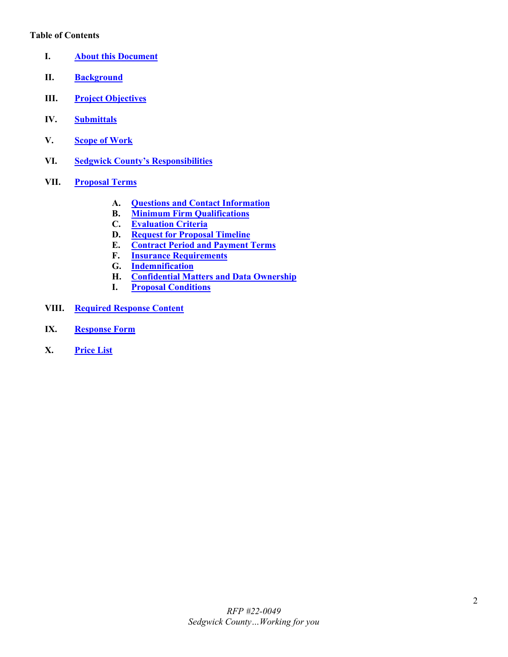#### **Table of Contents**

- <span id="page-1-0"></span>**I. [About this Document](#page-2-0)**
- <span id="page-1-1"></span>**II. [Background](#page-2-1)**
- <span id="page-1-2"></span>**III. [Project Objectives](#page-3-0)**
- <span id="page-1-3"></span>**IV. [Submittals](#page-3-1)**
- <span id="page-1-4"></span>**V. [Scope of Work](#page-3-2)**
- <span id="page-1-5"></span>**VI. [Sedgwick County's Responsibilities](#page-3-3)**
- <span id="page-1-10"></span><span id="page-1-9"></span><span id="page-1-8"></span><span id="page-1-7"></span><span id="page-1-6"></span>**VII. [Proposal Terms](#page-4-0)**
	- **A. [Questions and Contact Information](#page-4-1)**
	- **B. [Minimum Firm Qualifications](#page-4-2)**
	- **[Evaluation Criteria](#page-4-3)**
	- **D. [Request for Proposal Timeline](#page-5-0)**
	- **E. [Contract Period and Payment Terms](#page-5-1)**
	- **F. [Insurance Requirements](#page-6-0)**
	- **G. [Indemnification](#page-6-1)**
	- **H. [Confidential Matters and Data Ownership](#page-7-0)**
	- **I. [Proposal Conditions](#page-7-1)**
- <span id="page-1-15"></span><span id="page-1-14"></span><span id="page-1-13"></span><span id="page-1-12"></span><span id="page-1-11"></span>**VIII. [Required Response Content](#page-8-0)**
- <span id="page-1-16"></span>**IX. [Response Form](#page-9-0)**
- <span id="page-1-17"></span>**X. [Price List](#page-10-0)**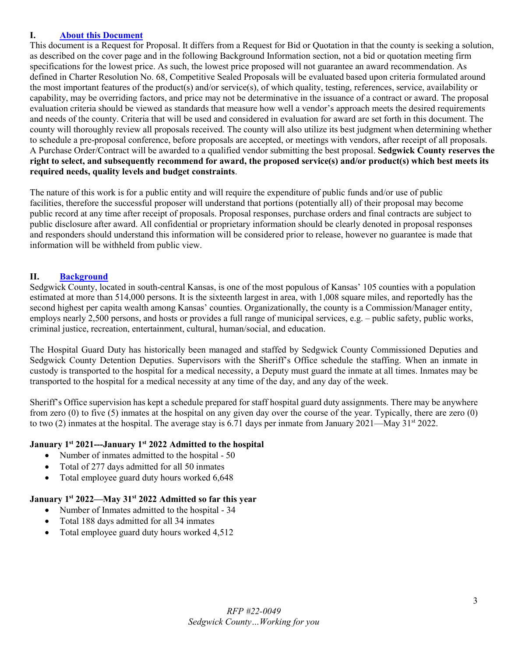### <span id="page-2-0"></span>**I. [About this Document](#page-1-0)**

This document is a Request for Proposal. It differs from a Request for Bid or Quotation in that the county is seeking a solution, as described on the cover page and in the following Background Information section, not a bid or quotation meeting firm specifications for the lowest price. As such, the lowest price proposed will not guarantee an award recommendation. As defined in Charter Resolution No. 68, Competitive Sealed Proposals will be evaluated based upon criteria formulated around the most important features of the product(s) and/or service(s), of which quality, testing, references, service, availability or capability, may be overriding factors, and price may not be determinative in the issuance of a contract or award. The proposal evaluation criteria should be viewed as standards that measure how well a vendor's approach meets the desired requirements and needs of the county. Criteria that will be used and considered in evaluation for award are set forth in this document. The county will thoroughly review all proposals received. The county will also utilize its best judgment when determining whether to schedule a pre-proposal conference, before proposals are accepted, or meetings with vendors, after receipt of all proposals. A Purchase Order/Contract will be awarded to a qualified vendor submitting the best proposal. **Sedgwick County reserves the right to select, and subsequently recommend for award, the proposed service(s) and/or product(s) which best meets its required needs, quality levels and budget constraints**.

The nature of this work is for a public entity and will require the expenditure of public funds and/or use of public facilities, therefore the successful proposer will understand that portions (potentially all) of their proposal may become public record at any time after receipt of proposals. Proposal responses, purchase orders and final contracts are subject to public disclosure after award. All confidential or proprietary information should be clearly denoted in proposal responses and responders should understand this information will be considered prior to release, however no guarantee is made that information will be withheld from public view.

### <span id="page-2-1"></span>**II. [Background](#page-1-1)**

Sedgwick County, located in south-central Kansas, is one of the most populous of Kansas' 105 counties with a population estimated at more than 514,000 persons. It is the sixteenth largest in area, with 1,008 square miles, and reportedly has the second highest per capita wealth among Kansas' counties. Organizationally, the county is a Commission/Manager entity, employs nearly 2,500 persons, and hosts or provides a full range of municipal services, e.g. – public safety, public works, criminal justice, recreation, entertainment, cultural, human/social, and education.

The Hospital Guard Duty has historically been managed and staffed by Sedgwick County Commissioned Deputies and Sedgwick County Detention Deputies. Supervisors with the Sheriff's Office schedule the staffing. When an inmate in custody is transported to the hospital for a medical necessity, a Deputy must guard the inmate at all times. Inmates may be transported to the hospital for a medical necessity at any time of the day, and any day of the week.

Sheriff's Office supervision has kept a schedule prepared for staff hospital guard duty assignments. There may be anywhere from zero (0) to five (5) inmates at the hospital on any given day over the course of the year. Typically, there are zero (0) to two (2) inmates at the hospital. The average stay is 6.71 days per inmate from January 2021—May 31st 2022.

#### **January 1st 2021---January 1st 2022 Admitted to the hospital**

- Number of inmates admitted to the hospital 50
- Total of 277 days admitted for all 50 inmates
- Total employee guard duty hours worked 6,648

#### **January 1st 2022—May 31st 2022 Admitted so far this year**

- Number of Inmates admitted to the hospital 34
- Total 188 days admitted for all 34 inmates
- Total employee guard duty hours worked 4,512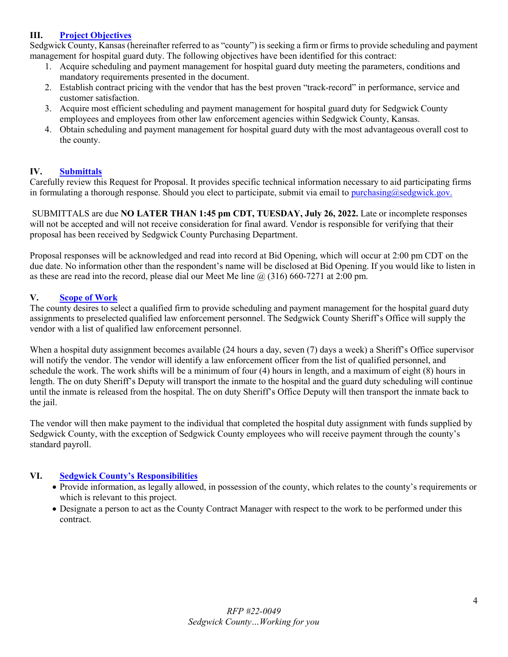## <span id="page-3-0"></span>**III. [Project Objectives](#page-1-2)**

Sedgwick County, Kansas (hereinafter referred to as "county") is seeking a firm or firms to provide scheduling and payment management for hospital guard duty. The following objectives have been identified for this contract:

- 1. Acquire scheduling and payment management for hospital guard duty meeting the parameters, conditions and mandatory requirements presented in the document.
- 2. Establish contract pricing with the vendor that has the best proven "track-record" in performance, service and customer satisfaction.
- 3. Acquire most efficient scheduling and payment management for hospital guard duty for Sedgwick County employees and employees from other law enforcement agencies within Sedgwick County, Kansas.
- 4. Obtain scheduling and payment management for hospital guard duty with the most advantageous overall cost to the county.

### <span id="page-3-1"></span>**IV. [Submittals](#page-1-3)**

Carefully review this Request for Proposal. It provides specific technical information necessary to aid participating firms in formulating a thorough response. Should you elect to participate, submit via email to [purchasing@sedgwick.gov.](mailto:purchasing@sedgwick.gov)

SUBMITTALS are due **NO LATER THAN 1:45 pm CDT, TUESDAY, July 26, 2022.** Late or incomplete responses will not be accepted and will not receive consideration for final award. Vendor is responsible for verifying that their proposal has been received by Sedgwick County Purchasing Department.

Proposal responses will be acknowledged and read into record at Bid Opening, which will occur at 2:00 pm CDT on the due date. No information other than the respondent's name will be disclosed at Bid Opening. If you would like to listen in as these are read into the record, please dial our Meet Me line  $\omega(316)$  660-7271 at 2:00 pm.

#### <span id="page-3-2"></span>**V. [Scope of Work](#page-1-4)**

The county desires to select a qualified firm to provide scheduling and payment management for the hospital guard duty assignments to preselected qualified law enforcement personnel. The Sedgwick County Sheriff's Office will supply the vendor with a list of qualified law enforcement personnel.

When a hospital duty assignment becomes available (24 hours a day, seven (7) days a week) a Sheriff's Office supervisor will notify the vendor. The vendor will identify a law enforcement officer from the list of qualified personnel, and schedule the work. The work shifts will be a minimum of four (4) hours in length, and a maximum of eight (8) hours in length. The on duty Sheriff's Deputy will transport the inmate to the hospital and the guard duty scheduling will continue until the inmate is released from the hospital. The on duty Sheriff's Office Deputy will then transport the inmate back to the jail.

The vendor will then make payment to the individual that completed the hospital duty assignment with funds supplied by Sedgwick County, with the exception of Sedgwick County employees who will receive payment through the county's standard payroll.

#### **VI. [Sedgwick County's Responsibilities](#page-1-5)**

- <span id="page-3-3"></span>• Provide information, as legally allowed, in possession of the county, which relates to the county's requirements or which is relevant to this project.
- Designate a person to act as the County Contract Manager with respect to the work to be performed under this contract.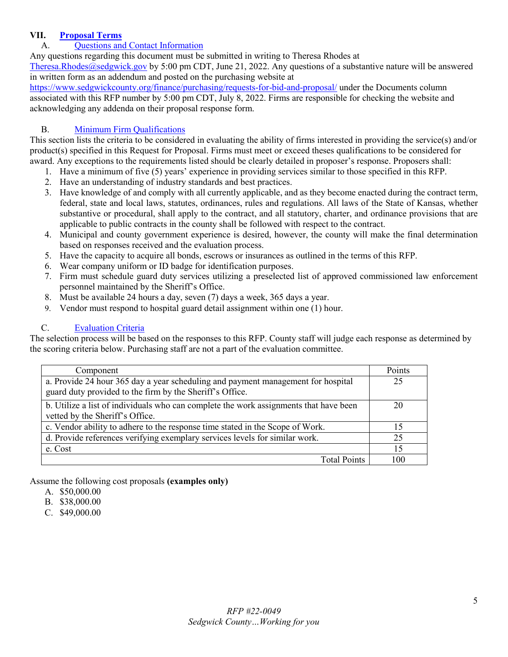### **VII. [Proposal Terms](#page-1-6)**

# <span id="page-4-1"></span><span id="page-4-0"></span>A. [Questions and Contact Information](#page-1-7)

Any questions regarding this document must be submitted in writing to Theresa Rhodes at

[Theresa.Rhodes@sedgwick.gov](mailto:Theresa.Rhodes@sedgwick.gov) by 5:00 pm CDT, June 21, 2022. Any questions of a substantive nature will be answered in written form as an addendum and posted on the purchasing website at

<https://www.sedgwickcounty.org/finance/purchasing/requests-for-bid-and-proposal/>under the Documents column associated with this RFP number by 5:00 pm CDT, July 8, 2022. Firms are responsible for checking the website and acknowledging any addenda on their proposal response form.

### <span id="page-4-2"></span>B. Minimum [Firm Qualifications](#page-1-8)

This section lists the criteria to be considered in evaluating the ability of firms interested in providing the service(s) and/or product(s) specified in this Request for Proposal. Firms must meet or exceed theses qualifications to be considered for award. Any exceptions to the requirements listed should be clearly detailed in proposer's response. Proposers shall:

- 1. Have a minimum of five (5) years' experience in providing services similar to those specified in this RFP.
- 2. Have an understanding of industry standards and best practices.
- 3. Have knowledge of and comply with all currently applicable, and as they become enacted during the contract term, federal, state and local laws, statutes, ordinances, rules and regulations. All laws of the State of Kansas, whether substantive or procedural, shall apply to the contract, and all statutory, charter, and ordinance provisions that are applicable to public contracts in the county shall be followed with respect to the contract.
- 4. Municipal and county government experience is desired, however, the county will make the final determination based on responses received and the evaluation process.
- 5. Have the capacity to acquire all bonds, escrows or insurances as outlined in the terms of this RFP.
- 6. Wear company uniform or ID badge for identification purposes.
- 7. Firm must schedule guard duty services utilizing a preselected list of approved commissioned law enforcement personnel maintained by the Sheriff's Office.
- 8. Must be available 24 hours a day, seven (7) days a week, 365 days a year.
- 9. Vendor must respond to hospital guard detail assignment within one (1) hour.

### <span id="page-4-3"></span>C. [Evaluation Criteria](#page-1-9)

The selection process will be based on the responses to this RFP. County staff will judge each response as determined by the scoring criteria below. Purchasing staff are not a part of the evaluation committee.

| Component                                                                                                                                    | Points |
|----------------------------------------------------------------------------------------------------------------------------------------------|--------|
| a. Provide 24 hour 365 day a year scheduling and payment management for hospital<br>guard duty provided to the firm by the Sheriff's Office. | 25     |
| b. Utilize a list of individuals who can complete the work assignments that have been<br>vetted by the Sheriff's Office.                     | 20     |
| c. Vendor ability to adhere to the response time stated in the Scope of Work.                                                                | 15     |
| d. Provide references verifying exemplary services levels for similar work.                                                                  | 25     |
| e. Cost                                                                                                                                      | 15     |
| <b>Total Points</b>                                                                                                                          | 100    |

Assume the following cost proposals **(examples only)**

- A. \$50,000.00
- B. \$38,000.00
- C. \$49,000.00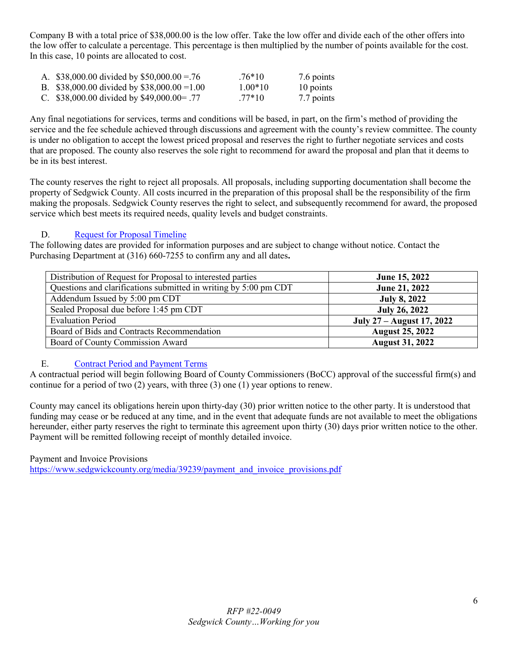Company B with a total price of \$38,000.00 is the low offer. Take the low offer and divide each of the other offers into the low offer to calculate a percentage. This percentage is then multiplied by the number of points available for the cost. In this case, 10 points are allocated to cost.

| A. \$38,000.00 divided by \$50,000.00 = 76   | $.76*10$  | 7.6 points |
|----------------------------------------------|-----------|------------|
| B. \$38,000.00 divided by \$38,000.00 = 1.00 | $1.00*10$ | 10 points  |
| C. \$38,000.00 divided by \$49,000.00 = .77  | $.77*10$  | 7.7 points |

Any final negotiations for services, terms and conditions will be based, in part, on the firm's method of providing the service and the fee schedule achieved through discussions and agreement with the county's review committee. The county is under no obligation to accept the lowest priced proposal and reserves the right to further negotiate services and costs that are proposed. The county also reserves the sole right to recommend for award the proposal and plan that it deems to be in its best interest.

The county reserves the right to reject all proposals. All proposals, including supporting documentation shall become the property of Sedgwick County. All costs incurred in the preparation of this proposal shall be the responsibility of the firm making the proposals. Sedgwick County reserves the right to select, and subsequently recommend for award, the proposed service which best meets its required needs, quality levels and budget constraints.

## <span id="page-5-0"></span>D. [Request for Proposal Timeline](#page-1-9)

The following dates are provided for information purposes and are subject to change without notice. Contact the Purchasing Department at (316) 660-7255 to confirm any and all dates**.** 

| Distribution of Request for Proposal to interested parties       | June 15, 2022             |
|------------------------------------------------------------------|---------------------------|
| Questions and clarifications submitted in writing by 5:00 pm CDT | June 21, 2022             |
| Addendum Issued by 5:00 pm CDT                                   | <b>July 8, 2022</b>       |
| Sealed Proposal due before 1:45 pm CDT                           | <b>July 26, 2022</b>      |
| <b>Evaluation Period</b>                                         | July 27 – August 17, 2022 |
| Board of Bids and Contracts Recommendation                       | <b>August 25, 2022</b>    |
| Board of County Commission Award                                 | <b>August 31, 2022</b>    |

# <span id="page-5-1"></span>E. [Contract Period and Payment Terms](#page-1-10)

A contractual period will begin following Board of County Commissioners (BoCC) approval of the successful firm(s) and continue for a period of two (2) years, with three (3) one (1) year options to renew.

County may cancel its obligations herein upon thirty-day (30) prior written notice to the other party. It is understood that funding may cease or be reduced at any time, and in the event that adequate funds are not available to meet the obligations hereunder, either party reserves the right to terminate this agreement upon thirty (30) days prior written notice to the other. Payment will be remitted following receipt of monthly detailed invoice.

Payment and Invoice Provisions [https://www.sedgwickcounty.org/media/39239/payment\\_and\\_invoice\\_provisions.pdf](https://www.sedgwickcounty.org/media/39239/payment_and_invoice_provisions.pdf)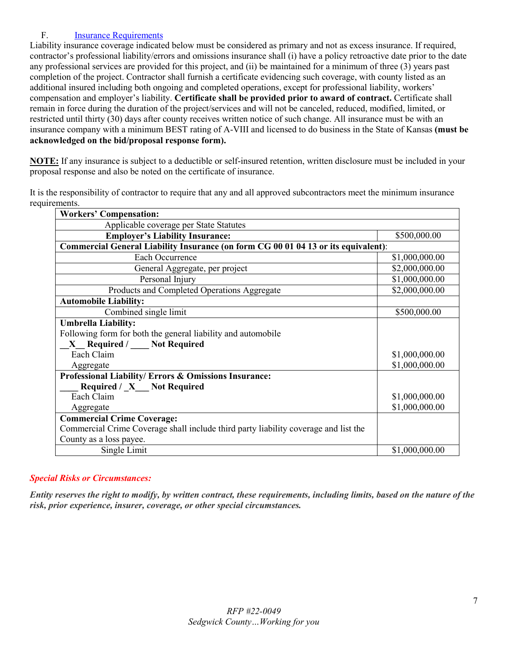# <span id="page-6-0"></span>F. [Insurance Requirements](#page-1-11)

Liability insurance coverage indicated below must be considered as primary and not as excess insurance. If required, contractor's professional liability/errors and omissions insurance shall (i) have a policy retroactive date prior to the date any professional services are provided for this project, and (ii) be maintained for a minimum of three (3) years past completion of the project. Contractor shall furnish a certificate evidencing such coverage, with county listed as an additional insured including both ongoing and completed operations, except for professional liability, workers' compensation and employer's liability. **Certificate shall be provided prior to award of contract.** Certificate shall remain in force during the duration of the project/services and will not be canceled, reduced, modified, limited, or restricted until thirty (30) days after county receives written notice of such change. All insurance must be with an insurance company with a minimum BEST rating of A-VIII and licensed to do business in the State of Kansas **(must be acknowledged on the bid/proposal response form).**

**NOTE:** If any insurance is subject to a deductible or self-insured retention, written disclosure must be included in your proposal response and also be noted on the certificate of insurance.

It is the responsibility of contractor to require that any and all approved subcontractors meet the minimum insurance requirements.

| <b>Workers' Compensation:</b>                                                       |                |  |  |
|-------------------------------------------------------------------------------------|----------------|--|--|
| Applicable coverage per State Statutes                                              |                |  |  |
| <b>Employer's Liability Insurance:</b>                                              | \$500,000.00   |  |  |
| Commercial General Liability Insurance (on form CG 00 01 04 13 or its equivalent):  |                |  |  |
| Each Occurrence                                                                     | \$1,000,000.00 |  |  |
| General Aggregate, per project                                                      | \$2,000,000.00 |  |  |
| Personal Injury                                                                     | \$1,000,000.00 |  |  |
| Products and Completed Operations Aggregate                                         | \$2,000,000.00 |  |  |
| <b>Automobile Liability:</b>                                                        |                |  |  |
| Combined single limit                                                               | \$500,000.00   |  |  |
| <b>Umbrella Liability:</b>                                                          |                |  |  |
| Following form for both the general liability and automobile                        |                |  |  |
| X_Required / ___ Not Required                                                       |                |  |  |
| Each Claim                                                                          | \$1,000,000.00 |  |  |
| Aggregate                                                                           | \$1,000,000.00 |  |  |
| Professional Liability/ Errors & Omissions Insurance:                               |                |  |  |
| Required / X Not Required                                                           |                |  |  |
| Each Claim                                                                          | \$1,000,000.00 |  |  |
| Aggregate                                                                           | \$1,000,000.00 |  |  |
| <b>Commercial Crime Coverage:</b>                                                   |                |  |  |
| Commercial Crime Coverage shall include third party liability coverage and list the |                |  |  |
| County as a loss payee.                                                             |                |  |  |
| Single Limit                                                                        | \$1,000,000.00 |  |  |

### *Special Risks or Circumstances:*

<span id="page-6-1"></span>*Entity reserves the right to modify, by written contract, these requirements, including limits, based on the nature of the risk, prior experience, insurer, coverage, or other special circumstances.*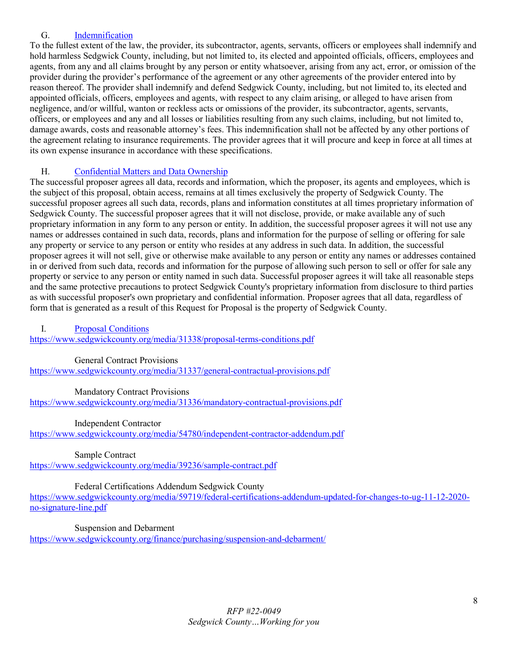### G. [Indemnification](#page-1-12)

To the fullest extent of the law, the provider, its subcontractor, agents, servants, officers or employees shall indemnify and hold harmless Sedgwick County, including, but not limited to, its elected and appointed officials, officers, employees and agents, from any and all claims brought by any person or entity whatsoever, arising from any act, error, or omission of the provider during the provider's performance of the agreement or any other agreements of the provider entered into by reason thereof. The provider shall indemnify and defend Sedgwick County, including, but not limited to, its elected and appointed officials, officers, employees and agents, with respect to any claim arising, or alleged to have arisen from negligence, and/or willful, wanton or reckless acts or omissions of the provider, its subcontractor, agents, servants, officers, or employees and any and all losses or liabilities resulting from any such claims, including, but not limited to, damage awards, costs and reasonable attorney's fees. This indemnification shall not be affected by any other portions of the agreement relating to insurance requirements. The provider agrees that it will procure and keep in force at all times at its own expense insurance in accordance with these specifications.

## <span id="page-7-0"></span>H. [Confidential Matters and Data Ownership](#page-1-13)

The successful proposer agrees all data, records and information, which the proposer, its agents and employees, which is the subject of this proposal, obtain access, remains at all times exclusively the property of Sedgwick County. The successful proposer agrees all such data, records, plans and information constitutes at all times proprietary information of Sedgwick County. The successful proposer agrees that it will not disclose, provide, or make available any of such proprietary information in any form to any person or entity. In addition, the successful proposer agrees it will not use any names or addresses contained in such data, records, plans and information for the purpose of selling or offering for sale any property or service to any person or entity who resides at any address in such data. In addition, the successful proposer agrees it will not sell, give or otherwise make available to any person or entity any names or addresses contained in or derived from such data, records and information for the purpose of allowing such person to sell or offer for sale any property or service to any person or entity named in such data. Successful proposer agrees it will take all reasonable steps and the same protective precautions to protect Sedgwick County's proprietary information from disclosure to third parties as with successful proposer's own proprietary and confidential information. Proposer agrees that all data, regardless of form that is generated as a result of this Request for Proposal is the property of Sedgwick County.

<span id="page-7-1"></span>I. [Proposal Conditions](#page-1-14)

<https://www.sedgwickcounty.org/media/31338/proposal-terms-conditions.pdf>

#### General Contract Provisions

<https://www.sedgwickcounty.org/media/31337/general-contractual-provisions.pdf>

Mandatory Contract Provisions

<https://www.sedgwickcounty.org/media/31336/mandatory-contractual-provisions.pdf>

Independent Contractor

<https://www.sedgwickcounty.org/media/54780/independent-contractor-addendum.pdf>

Sample Contract

<https://www.sedgwickcounty.org/media/39236/sample-contract.pdf>

#### Federal Certifications Addendum Sedgwick County

[https://www.sedgwickcounty.org/media/59719/federal-certifications-addendum-updated-for-changes-to-ug-11-12-2020](https://www.sedgwickcounty.org/media/59719/federal-certifications-addendum-updated-for-changes-to-ug-11-12-2020-no-signature-line.pdf) [no-signature-line.pdf](https://www.sedgwickcounty.org/media/59719/federal-certifications-addendum-updated-for-changes-to-ug-11-12-2020-no-signature-line.pdf)

Suspension and Debarment

<https://www.sedgwickcounty.org/finance/purchasing/suspension-and-debarment/>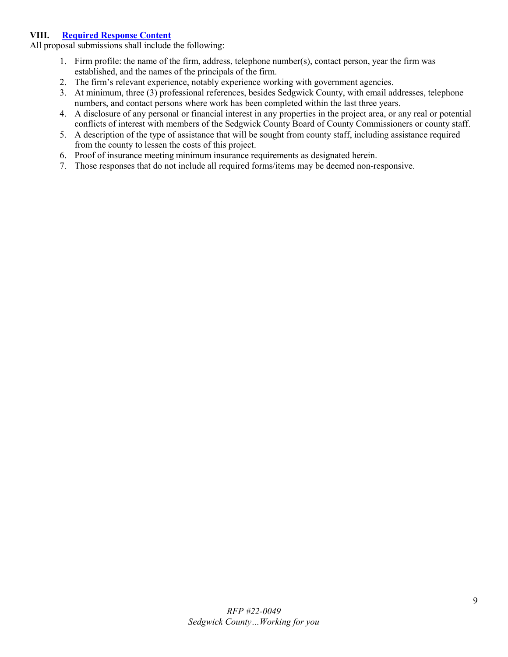### <span id="page-8-0"></span>**VIII. [Required Response Content](#page-1-15)**

All proposal submissions shall include the following:

- 1. Firm profile: the name of the firm, address, telephone number(s), contact person, year the firm was established, and the names of the principals of the firm.
- 2. The firm's relevant experience, notably experience working with government agencies.
- 3. At minimum, three (3) professional references, besides Sedgwick County, with email addresses, telephone numbers, and contact persons where work has been completed within the last three years.
- 4. A disclosure of any personal or financial interest in any properties in the project area, or any real or potential conflicts of interest with members of the Sedgwick County Board of County Commissioners or county staff.
- 5. A description of the type of assistance that will be sought from county staff, including assistance required from the county to lessen the costs of this project.
- 6. Proof of insurance meeting minimum insurance requirements as designated herein.
- 7. Those responses that do not include all required forms/items may be deemed non-responsive.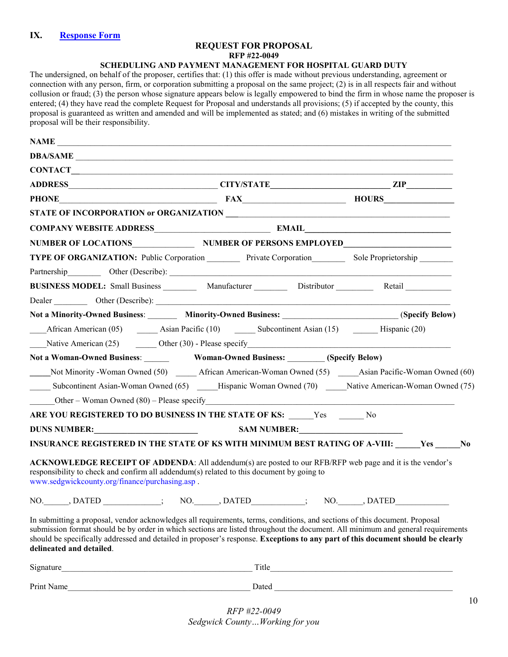### **REQUEST FOR PROPOSAL**

**RFP #22-0049**

#### **SCHEDULING AND PAYMENT MANAGEMENT FOR HOSPITAL GUARD DUTY**

<span id="page-9-0"></span>The undersigned, on behalf of the proposer, certifies that: (1) this offer is made without previous understanding, agreement or connection with any person, firm, or corporation submitting a proposal on the same project; (2) is in all respects fair and without collusion or fraud; (3) the person whose signature appears below is legally empowered to bind the firm in whose name the proposer is entered; (4) they have read the complete Request for Proposal and understands all provisions; (5) if accepted by the county, this proposal is guaranteed as written and amended and will be implemented as stated; and (6) mistakes in writing of the submitted proposal will be their responsibility.

| NAME                                                                                                                                                                                                                                                                                                                                                                                                                         |                                                                                                              |  |
|------------------------------------------------------------------------------------------------------------------------------------------------------------------------------------------------------------------------------------------------------------------------------------------------------------------------------------------------------------------------------------------------------------------------------|--------------------------------------------------------------------------------------------------------------|--|
| DBA/SAME                                                                                                                                                                                                                                                                                                                                                                                                                     |                                                                                                              |  |
|                                                                                                                                                                                                                                                                                                                                                                                                                              |                                                                                                              |  |
|                                                                                                                                                                                                                                                                                                                                                                                                                              |                                                                                                              |  |
| PHONE HOURS HOURS                                                                                                                                                                                                                                                                                                                                                                                                            |                                                                                                              |  |
|                                                                                                                                                                                                                                                                                                                                                                                                                              |                                                                                                              |  |
|                                                                                                                                                                                                                                                                                                                                                                                                                              |                                                                                                              |  |
| NUMBER OF LOCATIONS NUMBER OF PERSONS EMPLOYED PUMBER OF PERSONS EMPLOYED                                                                                                                                                                                                                                                                                                                                                    |                                                                                                              |  |
| TYPE OF ORGANIZATION: Public Corporation Private Corporation Sole Proprietorship                                                                                                                                                                                                                                                                                                                                             |                                                                                                              |  |
|                                                                                                                                                                                                                                                                                                                                                                                                                              |                                                                                                              |  |
| BUSINESS MODEL: Small Business __________ Manufacturer ___________ Distributor _________ Retail __________                                                                                                                                                                                                                                                                                                                   |                                                                                                              |  |
|                                                                                                                                                                                                                                                                                                                                                                                                                              |                                                                                                              |  |
| Not a Minority-Owned Business: Minority-Owned Business: (Specify Below)                                                                                                                                                                                                                                                                                                                                                      |                                                                                                              |  |
|                                                                                                                                                                                                                                                                                                                                                                                                                              | African American (05) ________ Asian Pacific (10) _________ Subcontinent Asian (15) __________ Hispanic (20) |  |
|                                                                                                                                                                                                                                                                                                                                                                                                                              |                                                                                                              |  |
|                                                                                                                                                                                                                                                                                                                                                                                                                              |                                                                                                              |  |
| Not Minority - Woman Owned (50) African American-Woman Owned (55) Asian Pacific-Woman Owned (60)                                                                                                                                                                                                                                                                                                                             |                                                                                                              |  |
| Subcontinent Asian-Woman Owned (65) Hispanic Woman Owned (70) Native American-Woman Owned (75)                                                                                                                                                                                                                                                                                                                               |                                                                                                              |  |
| Other – Woman Owned $(80)$ – Please specify                                                                                                                                                                                                                                                                                                                                                                                  |                                                                                                              |  |
| ARE YOU REGISTERED TO DO BUSINESS IN THE STATE OF KS: Yes No                                                                                                                                                                                                                                                                                                                                                                 |                                                                                                              |  |
|                                                                                                                                                                                                                                                                                                                                                                                                                              |                                                                                                              |  |
| INSURANCE REGISTERED IN THE STATE OF KS WITH MINIMUM BEST RATING OF A-VIII: Yes No                                                                                                                                                                                                                                                                                                                                           |                                                                                                              |  |
| <b>ACKNOWLEDGE RECEIPT OF ADDENDA:</b> All addendum(s) are posted to our RFB/RFP web page and it is the vendor's<br>responsibility to check and confirm all addendum(s) related to this document by going to<br>www.sedgwickcounty.org/finance/purchasing.asp.                                                                                                                                                               |                                                                                                              |  |
| NO. DATED ; NO. , DATED ; NO. , DATED ; NO. , DATED                                                                                                                                                                                                                                                                                                                                                                          |                                                                                                              |  |
| In submitting a proposal, vendor acknowledges all requirements, terms, conditions, and sections of this document. Proposal<br>submission format should be by order in which sections are listed throughout the document. All minimum and general requirements<br>should be specifically addressed and detailed in proposer's response. Exceptions to any part of this document should be clearly<br>delineated and detailed. |                                                                                                              |  |
|                                                                                                                                                                                                                                                                                                                                                                                                                              |                                                                                                              |  |
| Print Name                                                                                                                                                                                                                                                                                                                                                                                                                   | Dated                                                                                                        |  |